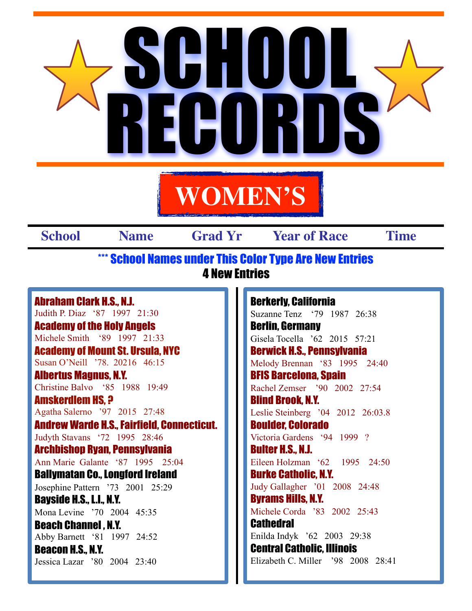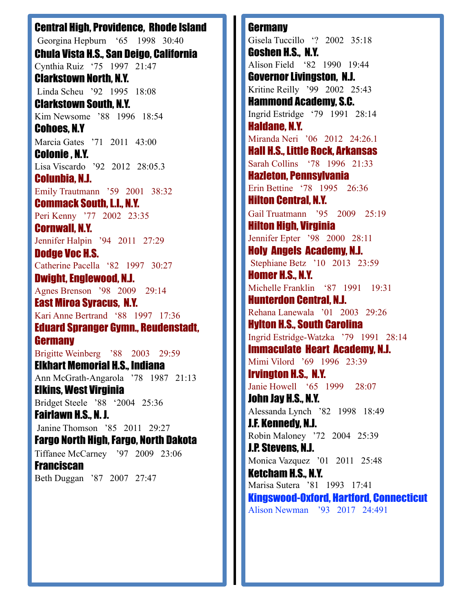Central High, Providence, Rhode Island Georgina Hepburn '65 1998 30:40 Chula Vista H.S., San Deigo, California Cynthia Ruiz '75 1997 21:47 Clarkstown North, N.Y. Linda Scheu '92 1995 18:08 Clarkstown South, N.Y. Kim Newsome '88 1996 18:54 Cohoes, N.Y Marcia Gates '71 2011 43:00 Colonie , N.Y. Lisa Viscardo '92 2012 28:05.3 Colunbia, N.J. Emily Trautmann '59 2001 38:32 Commack South, L.I., N.Y. Peri Kenny '77 2002 23:35 Cornwall, N.Y. Jennifer Halpin '94 2011 27:29 Dodge Voc H.S. Catherine Pacella '82 1997 30:27 Dwight, Englewood, N.J. Agnes Brenson '98 2009 29:14 East Miroa Syracus, N.Y. Kari Anne Bertrand '88 1997 17:36 Eduard Spranger Gymn., Reudenstadt, **Germany** Brigitte Weinberg '88 2003 29:59 Elkhart Memorial H.S., Indiana Ann McGrath-Angarola '78 1987 21:13 Elkins, West Virginia Bridget Steele '88 '2004 25:36 Fairlawn H.S., N. J. Janine Thomson '85 2011 29:27 Fargo North High, Fargo, North Dakota Tiffanee McCarney '97 2009 23:06 **Franciscan** Beth Duggan '87 2007 27:47

**Germany** Gisela Tuccillo '? 2002 35:18 Goshen H.S., N.Y. Alison Field '82 1990 19:44 Governor Livingston, N.J. Kritine Reilly '99 2002 25:43 Hammond Academy, S.C. Ingrid Estridge '79 1991 28:14 Haldane, N.Y. Miranda Neri '06 2012 24:26.1 Hall H.S., Little Rock, Arkansas Sarah Collins '78 1996 21:33 Hazleton, Pennsylvania Erin Bettine '78 1995 26:36 Hilton Central, N.Y. Gail Truatmann '95 2009 25:19 Hilton High, Virginia Jennifer Epter '98 2000 28:11 Holy Angels Academy, N.J. Stephiane Betz '10 2013 23:59 Homer H.S., N.Y. Michelle Franklin '87 1991 19:31 Hunterdon Central, N.J. Rehana Lanewala '01 2003 29:26 Hylton H.S., South Carolina Ingrid Estridge-Watzka '79 1991 28:14 Immaculate Heart Academy, N.J. Mimi Vilord '69 1996 23:39 Irvington H.S., N.Y. Janie Howell '65 1999 28:07 John Jay H.S., N.Y. Alessanda Lynch '82 1998 18:49 J.F. Kennedy, N.J. Robin Maloney '72 2004 25:39 J.P. Stevens, N.J. Monica Vazquez '01 2011 25:48 Ketcham H.S., N.Y. Marisa Sutera '81 1993 17:41 Kingswood-Oxford, Hartford, Connecticut Alison Newman '93 2017 24:491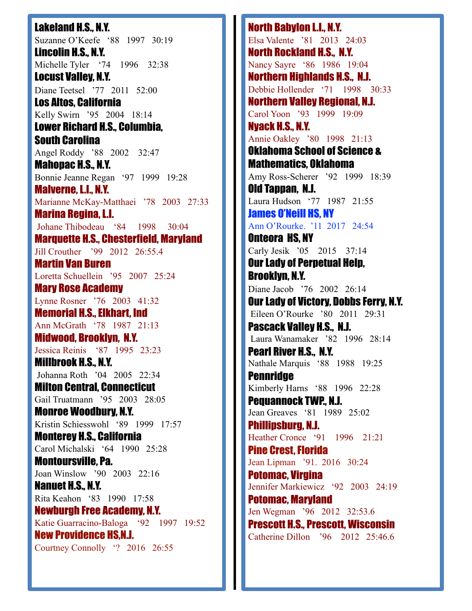Lakeland H.S., N.Y. Suzanne O'Keefe '88 1997 30:19 Lincolin H.S., N.Y. Michelle Tyler '74 1996 32:38 Locust Valley, N.Y. Diane Teetsel '77 2011 52:00 Los Altos, California Kelly Swirn '95 2004 18:14 Lower Richard H.S., Columbia, South Carolina Angel Roddy '88 2002 32:47 Mahopac H.S., N.Y. Bonnie Jeanne Regan '97 1999 19:28 Malverne, L.I., N.Y. Marianne McKay-Matthaei '78 2003 27:33 Marina Regina, L.I. Johane Thibodeau '84 1998 30:04 Marquette H.S., Chesterfield, Maryland Jill Crouther '99 2012 26:55.4 Martin Van Buren Loretta Schuellein '95 2007 25:24 Mary Rose Academy Lynne Rosner '76 2003 41:32 Memorial H.S., Elkhart, Ind Ann McGrath '78 1987 21:13 Midwood, Brooklyn, N.Y. Jessica Reinis '87 1995 23:23 Millbrook H.S., N.Y. Johanna Roth '04 2005 22:34 Milton Central, Connecticut Gail Truatmann '95 2003 28:05 Monroe Woodbury, N.Y. Kristin Schiesswohl '89 1999 17:57 Monterey H.S., California Carol Michalski '64 1990 25:28 Montoursville, Pa. Joan Winslow '90 2003 22:16 Nanuet H.S., N.Y. Rita Keahon '83 1990 17:58 Newburgh Free Academy, N.Y. Katie Guarracino-Baloga '92 1997 19:52 New Providence HS,N.J. Courtney Connolly '? 2016 26:55

North Babylon L.I., N.Y. Elsa Valente '81 2013 24:03 North Rockland H.S., N.Y. Nancy Sayre '86 1986 19:04 Northern Highlands H.S., N.J. Debbie Hollender '71 1998 30:33 Northern Valley Regional, N.J. Carol Yoon '93 1999 19:09 Nyack H.S., N.Y. Annie Oakley '80 1998 21:13 Oklahoma School of Science & Mathematics, Oklahoma Amy Ross-Scherer '92 1999 18:39 Old Tappan, N.J. Laura Hudson '77 1987 21:55 James O'Neill HS, NY Ann O'Rourke. '11 2017 24:54 Onteora HS, NY Carly Jesik '05 2015 37:14 Our Lady of Perpetual Help, Brooklyn, N.Y. Diane Jacob '76 2002 26:14 Our Lady of Victory, Dobbs Ferry, N.Y. Eileen O'Rourke '80 2011 29:31 Pascack Valley H.S., N.J. Laura Wanamaker '82 1996 28:14 Pearl River H.S., N.Y. Nathale Marquis '88 1988 19:25 **Pennridge** Kimberly Harns '88 1996 22:28 Pequannock TWP., N.J. Jean Greaves '81 1989 25:02 Phillipsburg, N.J. Heather Cronce '91 1996 21:21 Pine Crest, Florida Jean Lipman '91. 2016 30:24 Potomac, Virgina Jennifer Markiewicz '92 2003 24:19 Potomac, Maryland Jen Wegman '96 2012 32:53.6 Prescott H.S., Prescott, Wisconsin Catherine Dillon '96 2012 25:46.6